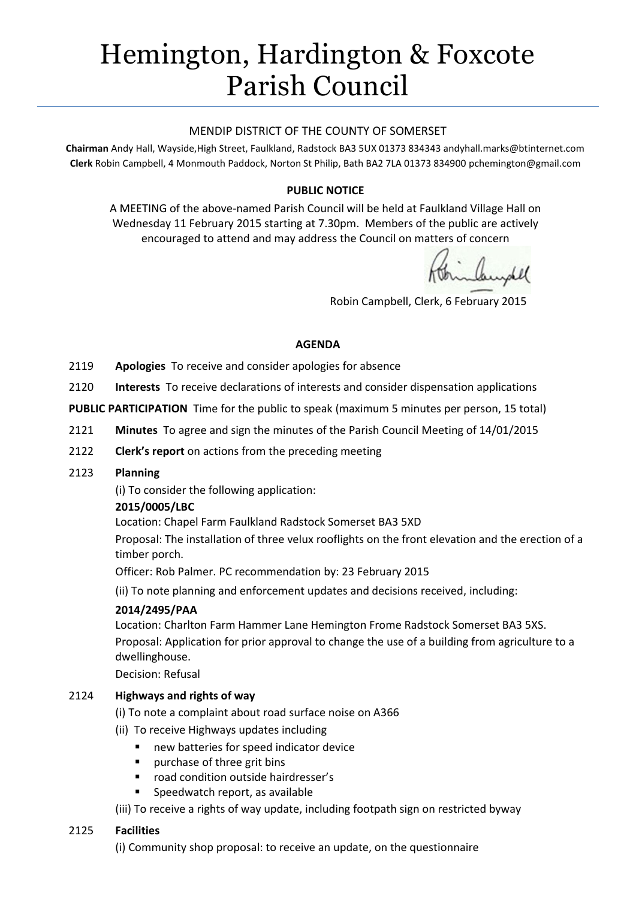# Hemington, Hardington & Foxcote Parish Council

## MENDIP DISTRICT OF THE COUNTY OF SOMERSET

**Chairman** Andy Hall, Wayside,High Street, Faulkland, Radstock BA3 5UX 01373 834343 andyhall.marks@btinternet.com **Clerk** Robin Campbell, 4 Monmouth Paddock, Norton St Philip, Bath BA2 7LA 01373 834900 [pchemington@gmail.com](mailto:pchemington@gmail.com)

# **PUBLIC NOTICE**

A MEETING of the above-named Parish Council will be held at Faulkland Village Hall on Wednesday 11 February 2015 starting at 7.30pm. Members of the public are actively encouraged to attend and may address the Council on matters of concern

inhundel

Robin Campbell, Clerk, 6 February 2015

### **AGENDA**

- 2119 **Apologies** To receive and consider apologies for absence
- 2120 **Interests** To receive declarations of interests and consider dispensation applications

**PUBLIC PARTICIPATION** Time for the public to speak (maximum 5 minutes per person, 15 total)

- 2121 **Minutes** To agree and sign the minutes of the Parish Council Meeting of 14/01/2015
- 2122 **Clerk's report** on actions from the preceding meeting

#### 2123 **Planning**

(i) To consider the following application:

# **2015/0005/LBC**

Location: Chapel Farm Faulkland Radstock Somerset BA3 5XD

Proposal: The installation of three velux rooflights on the front elevation and the erection of a timber porch.

Officer: Rob Palmer. PC recommendation by: 23 February 2015

(ii) To note planning and enforcement updates and decisions received, including:

# **2014/2495/PAA**

Location: Charlton Farm Hammer Lane Hemington Frome Radstock Somerset BA3 5XS. Proposal: [Application for prior approval to change the use of a building from agriculture to a](http://publicaccess.mendip.gov.uk/online-applications/applicationDetails.do?activeTab=summary&keyVal=NFJLH9KP03300)  [dwellinghouse.](http://publicaccess.mendip.gov.uk/online-applications/applicationDetails.do?activeTab=summary&keyVal=NFJLH9KP03300) 

Decision: Refusal

# 2124 **Highways and rights of way**

- (i) To note a complaint about road surface noise on A366
- (ii) To receive Highways updates including
	- new batteries for speed indicator device
	- **Paragement Contact Property** Purchase of three grit bins
	- **F** road condition outside hairdresser's
	- Speedwatch report, as available

(iii) To receive a rights of way update, including footpath sign on restricted byway

# 2125 **Facilities**

(i) Community shop proposal: to receive an update, on the questionnaire